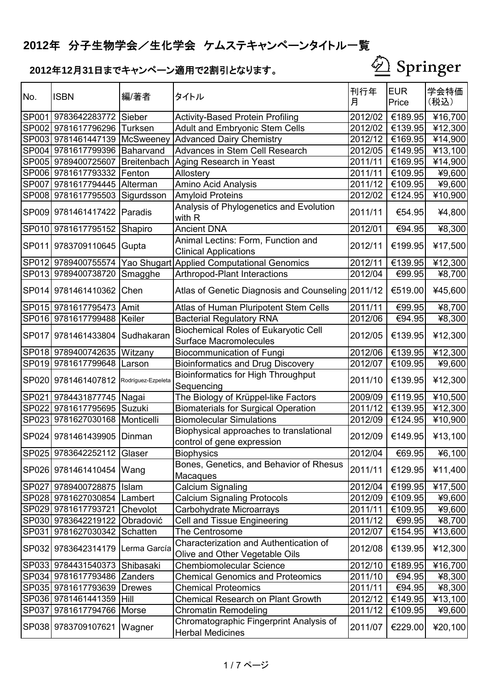

| No.          | <b>ISBN</b>                 | 編/著者               | タイトル                                                                         | 刊行年<br>月 | <b>EUR</b><br>Price | 学会特価<br>(税込) |
|--------------|-----------------------------|--------------------|------------------------------------------------------------------------------|----------|---------------------|--------------|
| SP001        | 9783642283772 Sieber        |                    | <b>Activity-Based Protein Profiling</b>                                      | 2012/02  | €189.95             | ¥16,700      |
|              | SP002 9781617796296         | <b>Turksen</b>     | <b>Adult and Embryonic Stem Cells</b>                                        | 2012/02  | €139.95             | ¥12,300      |
|              | SP003 9781461447139         | <b>McSweeney</b>   | <b>Advanced Dairy Chemistry</b>                                              | 2012/12  | €169.95             | ¥14,900      |
| <b>SP004</b> | 9781617799396               | Baharvand          | Advances in Stem Cell Research                                               | 2012/05  | €149.95             | ¥13,100      |
| SP005        | 9789400725607               | Breitenbach        | Aging Research in Yeast                                                      | 2011/11  | €169.95             | ¥14,900      |
|              | SP006 9781617793332         | Fenton             | Allostery                                                                    | 2011/11  | €109.95             | ¥9,600       |
| <b>SP007</b> | 9781617794445               | Alterman           | Amino Acid Analysis                                                          | 2011/12  | €109.95             | ¥9,600       |
|              | SP008 9781617795503         | Sigurdsson         | <b>Amyloid Proteins</b>                                                      | 2012/02  | €124.95             | ¥10,900      |
|              | SP009 9781461417422         | Paradis            | Analysis of Phylogenetics and Evolution<br>with R                            | 2011/11  | €54.95              | ¥4,800       |
|              | SP010 9781617795152         | Shapiro            | <b>Ancient DNA</b>                                                           | 2012/01  | €94.95              | ¥8,300       |
| SP011        | 9783709110645               | Gupta              | Animal Lectins: Form, Function and<br><b>Clinical Applications</b>           | 2012/11  | €199.95             | ¥17,500      |
|              | SP012 9789400755574         |                    | Yao Shugart Applied Computational Genomics                                   | 2012/11  | €139.95             | ¥12,300      |
|              | SP013 9789400738720         | Smagghe            | <b>Arthropod-Plant Interactions</b>                                          | 2012/04  | €99.95              | ¥8,700       |
| <b>SP014</b> | 9781461410362               | Chen               | Atlas of Genetic Diagnosis and Counseling 2011/12                            |          | €519.00             | ¥45,600      |
|              | SP015 9781617795473         | Amit               | Atlas of Human Pluripotent Stem Cells                                        | 2011/11  | €99.95              | ¥8,700       |
|              | SP016 9781617799488         | Keiler             | <b>Bacterial Regulatory RNA</b>                                              | 2012/06  | €94.95              | ¥8,300       |
| <b>SP017</b> | 9781461433804               | Sudhakaran         | <b>Biochemical Roles of Eukaryotic Cell</b><br><b>Surface Macromolecules</b> | 2012/05  | €139.95             | ¥12,300      |
|              | SP018 9789400742635         | Witzany            | <b>Biocommunication of Fungi</b>                                             | 2012/06  | €139.95             | ¥12,300      |
|              | SP019 9781617799648         | Larson             | <b>Bioinformatics and Drug Discovery</b>                                     | 2012/07  | €109.95             | ¥9,600       |
| <b>SP020</b> | 9781461407812               | Rodríguez-Ezpeleta | <b>Bioinformatics for High Throughput</b><br>Sequencing                      | 2011/10  | €139.95             | ¥12,300      |
| SP021        | 9784431877745   Nagai       |                    | The Biology of Krüppel-like Factors                                          | 2009/09  | $\frac{1}{6119.95}$ | ¥10,500      |
| <b>SP022</b> | 9781617795695               | Suzuki             | <b>Biomaterials for Surgical Operation</b>                                   | 2011/12  | €139.95             | ¥12,300      |
|              | SP023 9781627030168         | Monticelli         | <b>Biomolecular Simulations</b>                                              | 2012/09  | €124.95             | ¥10,900      |
| <b>SP024</b> | 9781461439905               | Dinman             | Biophysical approaches to translational<br>control of gene expression        | 2012/09  | €149.95             | ¥13,100      |
|              | SP02519783642252112 Glaser  |                    | <b>Biophysics</b>                                                            | 2012/04  | €69.95              | 46,100       |
|              | SP026 9781461410454 Wang    |                    | Bones, Genetics, and Behavior of Rhesus<br>Macaques                          | 2011/11  | €129.95             | ¥11,400      |
|              | SP027 9789400728875   Islam |                    | Calcium Signaling                                                            | 2012/04  | €199.95             | ¥17,500      |
|              | SP028 9781627030854         | Lambert            | <b>Calcium Signaling Protocols</b>                                           | 2012/09  | €109.95             | ¥9,600       |
|              | SP029 9781617793721         | Chevolot           | Carbohydrate Microarrays                                                     | 2011/11  | €109.95             | ¥9,600       |
|              | SP030 9783642219122         | Obradović          | Cell and Tissue Engineering                                                  | 2011/12  | €99.95              | ¥8,700       |
|              | SP031 9781627030342         | Schatten           | The Centrosome                                                               | 2012/07  | €154.95             | ¥13,600      |
|              | SP032 9783642314179         | Lerma García       | Characterization and Authentication of<br>Olive and Other Vegetable Oils     | 2012/08  | €139.95             | ¥12,300      |
|              | SP033 9784431540373         | Shibasaki          | <b>Chembiomolecular Science</b>                                              | 2012/10  | €189.95             | ¥16,700      |
|              | SP034 9781617793486         | <b>Zanders</b>     | <b>Chemical Genomics and Proteomics</b>                                      | 2011/10  | €94.95              | ¥8,300       |
|              | SP035 9781617793639         | <b>Drewes</b>      | <b>Chemical Proteomics</b>                                                   | 2011/11  | €94.95              | ¥8,300       |
|              | SP036 9781461441359 Hill    |                    | <b>Chemical Research on Plant Growth</b>                                     | 2012/12  | €149.95             | 413,100      |
| SP037        | 9781617794766               | Morse              | Chromatin Remodeling                                                         | 2011/12  | €109.95             | ¥9,600       |
|              | SP038 9783709107621         | Wagner             | Chromatographic Fingerprint Analysis of<br><b>Herbal Medicines</b>           | 2011/07  | €229.00             | ¥20,100      |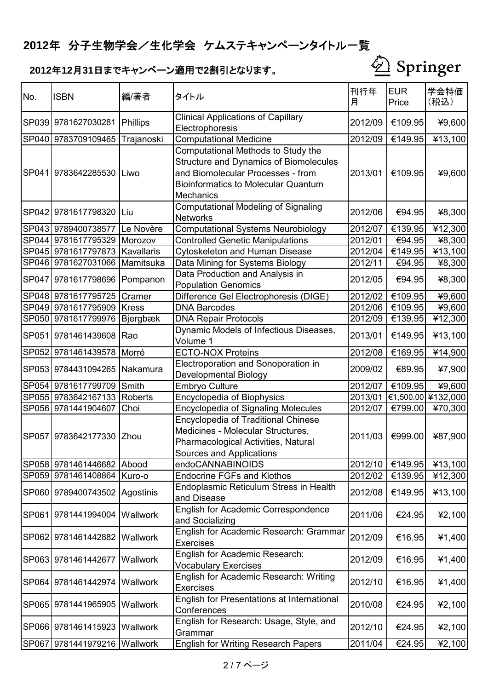

| No.          | <b>ISBN</b>                  | 編/著者            | タイトル                                                                                                                                                                                       | 刊行年<br>月 | <b>EUR</b><br>Price | 学会特価<br>(税込) |
|--------------|------------------------------|-----------------|--------------------------------------------------------------------------------------------------------------------------------------------------------------------------------------------|----------|---------------------|--------------|
| SP039        | 9781627030281                | Phillips        | <b>Clinical Applications of Capillary</b><br>Electrophoresis                                                                                                                               | 2012/09  | €109.95             | ¥9,600       |
| <b>SP040</b> | 9783709109465                | Trajanoski      | <b>Computational Medicine</b>                                                                                                                                                              | 2012/09  | €149.95             | ¥13,100      |
| SP041        | 9783642285530                | Liwo            | Computational Methods to Study the<br><b>Structure and Dynamics of Biomolecules</b><br>and Biomolecular Processes - from<br><b>Bioinformatics to Molecular Quantum</b><br><b>Mechanics</b> | 2013/01  | €109.95             | ¥9,600       |
| <b>SP042</b> | 9781617798320                | Liu             | <b>Computational Modeling of Signaling</b><br><b>Networks</b>                                                                                                                              | 2012/06  | €94.95              | ¥8,300       |
|              | SP043 9789400738577          | Le Novère       | <b>Computational Systems Neurobiology</b>                                                                                                                                                  | 2012/07  | €139.95             | ¥12,300      |
|              | SP044 9781617795329          | Morozov         | <b>Controlled Genetic Manipulations</b>                                                                                                                                                    | 2012/01  | €94.95              | ¥8,300       |
|              | SP045 9781617797873          | Kavallaris      | <b>Cytoskeleton and Human Disease</b>                                                                                                                                                      | 2012/04  | €149.95             | ¥13,100      |
|              | SP046 9781627031066          | Mamitsuka       | Data Mining for Systems Biology                                                                                                                                                            | 2012/11  | €94.95              | ¥8,300       |
| <b>SP047</b> | 9781617798696                | Pompanon        | Data Production and Analysis in<br><b>Population Genomics</b>                                                                                                                              | 2012/05  | €94.95              | ¥8,300       |
|              | SP048 9781617795725          | Cramer          | Difference Gel Electrophoresis (DIGE)                                                                                                                                                      | 2012/02  | €109.95             | ¥9,600       |
|              | SP049 9781617795909          | <b>Kress</b>    | <b>DNA Barcodes</b>                                                                                                                                                                        | 2012/06  | €109.95             | ¥9,600       |
|              | SP050 9781617799976          | Bjergbæk        | <b>DNA Repair Protocols</b>                                                                                                                                                                | 2012/09  | €139.95             | ¥12,300      |
| SP051        | 9781461439608                | Rao             | Dynamic Models of Infectious Diseases,<br>Volume 1                                                                                                                                         | 2013/01  | €149.95             | ¥13,100      |
|              | SP052 9781461439578          | Morré           | <b>ECTO-NOX Proteins</b>                                                                                                                                                                   | 2012/08  | €169.95             | ¥14,900      |
|              | SP053 9784431094265          | Nakamura        | Electroporation and Sonoporation in<br>Developmental Biology                                                                                                                               | 2009/02  | €89.95              | ¥7,900       |
|              | SP054 9781617799709          | Smith           | <b>Embryo Culture</b>                                                                                                                                                                      | 2012/07  | €109.95             | ¥9,600       |
|              | SP055 9783642167133          | <b>Roberts</b>  | <b>Encyclopedia of Biophysics</b>                                                                                                                                                          | 2013/01  | €1,500.00           | ¥132,000     |
|              | SP056 9781441904607          | Choi            | <b>Encyclopedia of Signaling Molecules</b>                                                                                                                                                 | 2012/07  | €799.00             | ¥70,300      |
| <b>SP057</b> | 9783642177330                | Zhou            | <b>Encyclopedia of Traditional Chinese</b><br>Medicines - Molecular Structures.<br>Pharmacological Activities, Natural<br>Sources and Applications                                         | 2011/03  | €999.00             | ¥87,900      |
|              | SP058 9781461446682 Abood    |                 | endoCANNABINOIDS                                                                                                                                                                           | 2012/10  | €149.95             | ¥13,100      |
|              | SP059 9781461408864 Kuro-o   |                 | <b>Endocrine FGFs and Klothos</b>                                                                                                                                                          | 2012/02  | €139.95             | 412,300      |
|              | SP060 9789400743502          | Agostinis       | Endoplasmic Reticulum Stress in Health<br>and Disease                                                                                                                                      | 2012/08  | €149.95             | 413,100      |
|              | SP061 9781441994004          | Wallwork        | <b>English for Academic Correspondence</b><br>and Socializing                                                                                                                              | 2011/06  | €24.95              | 42,100       |
|              | SP062 9781461442882          | <b>Wallwork</b> | English for Academic Research: Grammar<br><b>Exercises</b>                                                                                                                                 | 2012/09  | €16.95              | ¥1,400       |
|              | SP063 9781461442677          | <b>Wallwork</b> | English for Academic Research:<br><b>Vocabulary Exercises</b>                                                                                                                              | 2012/09  | €16.95              | ¥1,400       |
|              | SP064 9781461442974          | <b>Wallwork</b> | English for Academic Research: Writing<br>Exercises                                                                                                                                        | 2012/10  | €16.95              | 41,400       |
|              | SP065 9781441965905          | Wallwork        | English for Presentations at International<br>Conferences                                                                                                                                  | 2010/08  | €24.95              | 42,100       |
|              | SP066 9781461415923 Wallwork |                 | English for Research: Usage, Style, and<br>Grammar                                                                                                                                         | 2012/10  | €24.95              | 42,100       |
|              | SP067 9781441979216 Wallwork |                 | <b>English for Writing Research Papers</b>                                                                                                                                                 | 2011/04  | €24.95              | 42,100       |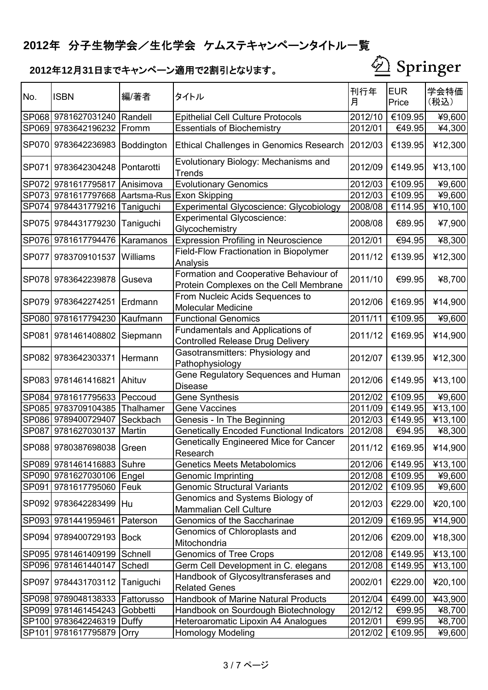

| No.          | <b>ISBN</b>                   | 編/著者       | タイトル                                                                             | 刊行年<br>月 | <b>EUR</b><br>Price | 学会特価<br>(税込) |
|--------------|-------------------------------|------------|----------------------------------------------------------------------------------|----------|---------------------|--------------|
|              | SP068 9781627031240   Randell |            | <b>Epithelial Cell Culture Protocols</b>                                         | 2012/10  | €109.95             | ¥9,600       |
| SP069        | 9783642196232                 | Fromm      | <b>Essentials of Biochemistry</b>                                                | 2012/01  | €49.95              | ¥4,300       |
|              | SP070 9783642236983           | Boddington | <b>Ethical Challenges in Genomics Research</b>                                   | 2012/03  | €139.95             | ¥12,300      |
| <b>SP071</b> | 9783642304248                 | Pontarotti | Evolutionary Biology: Mechanisms and<br>Trends                                   | 2012/09  | €149.95             | ¥13,100      |
|              | SP072 9781617795817           | Anisimova  | <b>Evolutionary Genomics</b>                                                     | 2012/03  | €109.95             | ¥9,600       |
| <b>SP073</b> | 9781617797668 Aartsma-Rus     |            | <b>Exon Skipping</b>                                                             | 2012/03  | €109.95             | ¥9,600       |
| SP074        | 9784431779216                 | Taniguchi  | Experimental Glycoscience: Glycobiology                                          | 2008/08  | €114.95             | ¥10,100      |
| <b>SP075</b> | 9784431779230                 | Taniguchi  | <b>Experimental Glycoscience:</b><br>Glycochemistry                              | 2008/08  | €89.95              | ¥7,900       |
|              | SP076 9781617794476           | Karamanos  | <b>Expression Profiling in Neuroscience</b>                                      | 2012/01  | €94.95              | ¥8,300       |
| <b>SP077</b> | 9783709101537                 | Williams   | <b>Field-Flow Fractionation in Biopolymer</b><br>Analysis                        | 2011/12  | €139.95             | ¥12,300      |
| <b>SP078</b> | 9783642239878                 | Guseva     | Formation and Cooperative Behaviour of<br>Protein Complexes on the Cell Membrane | 2011/10  | €99.95              | ¥8,700       |
| <b>SP079</b> | 9783642274251                 | Erdmann    | From Nucleic Acids Sequences to<br><b>Molecular Medicine</b>                     | 2012/06  | €169.95             | ¥14,900      |
| SP080        | 9781617794230                 | Kaufmann   | <b>Functional Genomics</b>                                                       | 2011/11  | €109.95             | ¥9,600       |
| <b>SP081</b> | 9781461408802                 | Siepmann   | Fundamentals and Applications of<br><b>Controlled Release Drug Delivery</b>      | 2011/12  | €169.95             | ¥14,900      |
| <b>SP082</b> | 9783642303371                 | Hermann    | Gasotransmitters: Physiology and<br>Pathophysiology                              | 2012/07  | €139.95             | ¥12,300      |
|              | SP083 9781461416821           | Ahituv     | Gene Regulatory Sequences and Human<br><b>Disease</b>                            | 2012/06  | €149.95             | ¥13,100      |
| SP084        | 9781617795633                 | Peccoud    | Gene Synthesis                                                                   | 2012/02  | €109.95             | ¥9,600       |
| <b>SP085</b> | 9783709104385                 | Thalhamer  | <b>Gene Vaccines</b>                                                             | 2011/09  | €149.95             | ¥13,100      |
|              | SP086 9789400729407           | Seckbach   | Genesis - In The Beginning                                                       | 2012/03  | €149.95             | ¥13,100      |
| <b>SP087</b> | 9781627030137                 | Martin     | <b>Genetically Encoded Functional Indicators</b>                                 | 2012/08  | €94.95              | ¥8,300       |
|              | SP088 9780387698038 Green     |            | <b>Genetically Engineered Mice for Cancer</b><br>Research                        | 2011/12  | €169.95             | ¥14,900      |
|              | SP089 9781461416883           | Suhre      | <b>Genetics Meets Metabolomics</b>                                               | 2012/06  | €149.95             | ¥13,100      |
| <b>SP090</b> | 9781627030106 Engel           |            | <b>Genomic Imprinting</b>                                                        | 2012/08  | €109.95             | ¥9,600       |
| SP091        | 9781617795060                 | Feuk       | <b>Genomic Structural Variants</b>                                               | 2012/02  | €109.95             | ¥9,600       |
| <b>SP092</b> | 9783642283499                 | lHu        | Genomics and Systems Biology of<br><b>Mammalian Cell Culture</b>                 | 2012/03  | €229.00             | ¥20,100      |
| <b>SP093</b> | 9781441959461                 | Paterson   | Genomics of the Saccharinae                                                      | 2012/09  | €169.95             | ¥14,900      |
| <b>SP094</b> | 9789400729193 Bock            |            | Genomics of Chloroplasts and<br>Mitochondria                                     | 2012/06  | €209.00             | ¥18,300      |
|              | SP095 9781461409199           | Schnell    | <b>Genomics of Tree Crops</b>                                                    | 2012/08  | €149.95             | ¥13,100      |
|              | SP096 9781461440147           | Schedl     | Germ Cell Development in C. elegans                                              | 2012/08  | €149.95             | ¥13,100      |
| <b>SP097</b> | 9784431703112                 | Taniguchi  | Handbook of Glycosyltransferases and<br><b>Related Genes</b>                     | 2002/01  | €229.00             | ¥20,100      |
|              | SP098 9789048138333           | Fattorusso | Handbook of Marine Natural Products                                              | 2012/04  | €499.00             | ¥43,900      |
|              | SP099 9781461454243           | Gobbetti   | Handbook on Sourdough Biotechnology                                              | 2012/12  | €99.95              | ¥8,700       |
|              | SP100 9783642246319           | Duffy      | Heteroaromatic Lipoxin A4 Analogues                                              | 2012/01  | €99.95              | ¥8,700       |
|              | SP101 9781617795879           | Orry       | <b>Homology Modeling</b>                                                         | 2012/02  | €109.95             | ¥9,600       |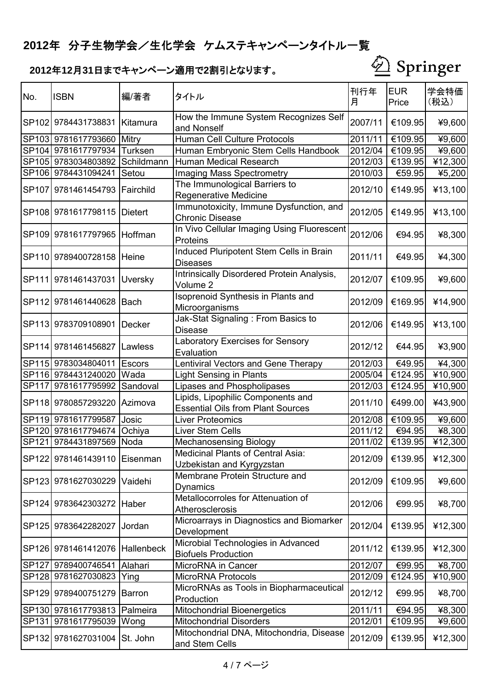

| No.          | <b>ISBN</b>                    | 編/著者           | タイトル                                                                          | 刊行年<br>月 | <b>EUR</b><br>Price | 学会特価<br>(税込)     |
|--------------|--------------------------------|----------------|-------------------------------------------------------------------------------|----------|---------------------|------------------|
|              | SP102 9784431738831            | Kitamura       | How the Immune System Recognizes Self<br>and Nonself                          | 2007/11  | €109.95             | ¥9,600           |
|              | SP103 9781617793660            | Mitry          | Human Cell Culture Protocols                                                  | 2011/11  | €109.95             | ¥9,600           |
|              | SP104 9781617797934            | <b>Turksen</b> | Human Embryonic Stem Cells Handbook                                           | 2012/04  | €109.95             | ¥9,600           |
|              | SP105 9783034803892            | Schildmann     | <b>Human Medical Research</b>                                                 | 2012/03  | €139.95             | $\bar{4}$ 12,300 |
|              | SP106 9784431094241            | Setou          | Imaging Mass Spectrometry                                                     | 2010/03  | €59.95              | ¥5,200           |
|              | SP107 9781461454793 Fairchild  |                | The Immunological Barriers to<br><b>Regenerative Medicine</b>                 | 2012/10  | €149.95             | ¥13,100          |
|              | SP108 9781617798115            | <b>Dietert</b> | Immunotoxicity, Immune Dysfunction, and<br><b>Chronic Disease</b>             | 2012/05  | €149.95             | ¥13,100          |
|              | SP109 9781617797965 Hoffman    |                | In Vivo Cellular Imaging Using Fluorescent<br>Proteins                        | 2012/06  | €94.95              | ¥8,300           |
|              | SP110 9789400728158 Heine      |                | Induced Pluripotent Stem Cells in Brain<br><b>Diseases</b>                    | 2011/11  | €49.95              | ¥4,300           |
|              | SP111 9781461437031            | Uversky        | Intrinsically Disordered Protein Analysis,<br>Volume 2                        | 2012/07  | €109.95             | ¥9,600           |
|              | SP112 9781461440628 Bach       |                | Isoprenoid Synthesis in Plants and<br>Microorganisms                          | 2012/09  | €169.95             | ¥14,900          |
|              | SP113 9783709108901 Decker     |                | Jak-Stat Signaling: From Basics to<br>Disease                                 | 2012/06  | €149.95             | ¥13,100          |
|              | SP114 9781461456827 Lawless    |                | <b>Laboratory Exercises for Sensory</b><br>Evaluation                         | 2012/12  | €44.95              | ¥3,900           |
|              | SP115 9783034804011 Escors     |                | Lentiviral Vectors and Gene Therapy                                           | 2012/03  | €49.95              | ¥4,300           |
|              | SP116 9784431240020            | Wada           | <b>Light Sensing in Plants</b>                                                | 2005/04  | €124.95             | ¥10,900          |
| <b>SP117</b> | 9781617795992                  | Sandoval       | Lipases and Phospholipases                                                    | 2012/03  | €124.95             | ¥10,900          |
|              | SP118 9780857293220            | Azimova        | Lipids, Lipophilic Components and<br><b>Essential Oils from Plant Sources</b> | 2011/10  | €499.00             | ¥43,900          |
|              | SP119 9781617799587            | Josic          | <b>Liver Proteomics</b>                                                       | 2012/08  | €109.95             | ¥9,600           |
|              | SP120 9781617794674            | Ochiya         | Liver Stem Cells                                                              | 2011/12  | €94.95              | ¥8,300           |
|              | SP121 9784431897569            | Noda           | <b>Mechanosensing Biology</b>                                                 | 2011/02  | €139.95             | ¥12,300          |
|              | SP122 9781461439110 Eisenman   |                | <b>Medicinal Plants of Central Asia:</b><br>Uzbekistan and Kyrgyzstan         | 2012/09  | €139.95             | ¥12,300          |
| <b>SP123</b> | 9781627030229                  | Vaidehi        | Membrane Protein Structure and<br>Dynamics                                    | 2012/09  | €109.95             | ¥9,600           |
|              | SP124 9783642303272 Haber      |                | Metallocorroles for Attenuation of<br>Atherosclerosis                         | 2012/06  | €99.95              | ¥8,700           |
|              | SP125 9783642282027            | Jordan         | Microarrays in Diagnostics and Biomarker<br>Development                       | 2012/04  | €139.95             | ¥12,300          |
|              | SP126 9781461412076 Hallenbeck |                | Microbial Technologies in Advanced<br><b>Biofuels Production</b>              | 2011/12  | €139.95             | ¥12,300          |
|              | SP127 9789400746541            | Alahari        | MicroRNA in Cancer                                                            | 2012/07  | €99.95              | ¥8,700           |
|              | SP128 9781627030823            | Ying           | MicroRNA Protocols                                                            | 2012/09  | €124.95             | ¥10,900          |
|              | SP129 9789400751279 Barron     |                | MicroRNAs as Tools in Biopharmaceutical<br>Production                         | 2012/12  | €99.95              | ¥8,700           |
|              | SP130 9781617793813 Palmeira   |                | <b>Mitochondrial Bioenergetics</b>                                            | 2011/11  | €94.95              | ¥8,300           |
|              | SP131 9781617795039 Wong       |                | <b>Mitochondrial Disorders</b>                                                | 2012/01  | €109.95             | ¥9,600           |
|              | SP132 9781627031004 St. John   |                | Mitochondrial DNA, Mitochondria, Disease<br>and Stem Cells                    | 2012/09  | €139.95             | ¥12,300          |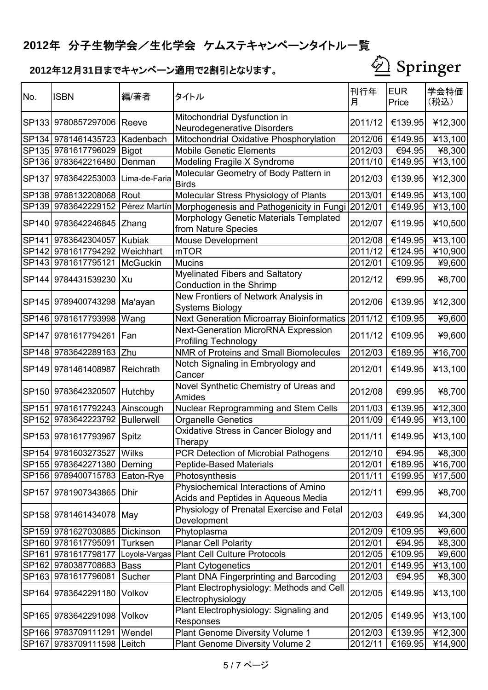

| No.          | <b>ISBN</b>                   | 編/著者            | タイトル                                                                        | 刊行年<br>月 | <b>EUR</b><br>Price | 学会特価<br>(税込) |
|--------------|-------------------------------|-----------------|-----------------------------------------------------------------------------|----------|---------------------|--------------|
|              | SP133 9780857297006 Reeve     |                 | Mitochondrial Dysfunction in                                                | 2011/12  | €139.95             | ¥12,300      |
|              |                               |                 | Neurodegenerative Disorders                                                 |          |                     |              |
|              | SP134 9781461435723           | Kadenbach       | Mitochondrial Oxidative Phosphorylation                                     | 2012/06  | €149.95             | ¥13,100      |
|              | SP135 9781617796029           | <b>Bigot</b>    | <b>Mobile Genetic Elements</b>                                              | 2012/03  | €94.95              | ¥8,300       |
|              | SP136 9783642216480           | Denman          | Modeling Fragile X Syndrome                                                 | 2011/10  | €149.95             | ¥13,100      |
| <b>SP137</b> | 9783642253003                 | Lima-de-Faria   | Molecular Geometry of Body Pattern in<br><b>Birds</b>                       | 2012/03  | €139.95             | ¥12,300      |
|              | SP138 9788132208068 Rout      |                 | Molecular Stress Physiology of Plants                                       | 2013/01  | €149.95             | ¥13,100      |
|              |                               |                 | SP139 9783642229152 Pérez Martín Morphogenesis and Pathogenicity in Fungi   | 2012/01  | €149.95             | ¥13,100      |
|              | SP140 9783642246845           | Zhang           | Morphology Genetic Materials Templated<br>from Nature Species               | 2012/07  | €119.95             | ¥10,500      |
| <b>SP141</b> | 9783642304057                 | Kubiak          | Mouse Development                                                           | 2012/08  | €149.95             | ¥13,100      |
| <b>SP142</b> | 9781617794292                 | Weichhart       | <b>mTOR</b>                                                                 | 2011/12  | €124.95             | ¥10,900      |
|              | SP143 9781617795121           | <b>McGuckin</b> | <b>Mucins</b>                                                               | 2012/01  | €109.95             | ¥9,600       |
|              | SP144 9784431539230 Xu        |                 | <b>Myelinated Fibers and Saltatory</b><br>Conduction in the Shrimp          | 2012/12  | €99.95              | ¥8,700       |
|              | SP145 9789400743298           | Ma'ayan         | New Frontiers of Network Analysis in<br><b>Systems Biology</b>              | 2012/06  | €139.95             | ¥12,300      |
|              | SP146 9781617793998           | Wang            | <b>Next Generation Microarray Bioinformatics</b>                            | 2011/12  | €109.95             | ¥9,600       |
| <b>SP147</b> | 9781617794261                 | <b>IFan</b>     | <b>Next-Generation MicroRNA Expression</b><br><b>Profiling Technology</b>   | 2011/12  | €109.95             | ¥9,600       |
| <b>SP148</b> | 9783642289163                 | Zhu             | NMR of Proteins and Small Biomolecules                                      | 2012/03  | €189.95             | ¥16,700      |
|              | SP149 9781461408987           | Reichrath       | Notch Signaling in Embryology and<br>Cancer                                 | 2012/01  | €149.95             | ¥13,100      |
|              | SP150 9783642320507 Hutchby   |                 | Novel Synthetic Chemistry of Ureas and<br>Amides                            | 2012/08  | €99.95              | ¥8,700       |
|              | SP151 9781617792243           | Ainscough       | Nuclear Reprogramming and Stem Cells                                        | 2011/03  | €139.95             | ¥12,300      |
|              | SP152 9783642223792           | Bullerwell      | <b>Organelle Genetics</b>                                                   | 2011/09  | €149.95             | ¥13,100      |
|              | SP153 9781617793967           | Spitz           | Oxidative Stress in Cancer Biology and<br>Therapy                           | 2011/11  | €149.95             | ¥13,100      |
|              | ISP15419781603273527          | Wilks           | PCR Detection of Microbial Pathogens                                        | 2012/10  | €94.95              | 48,300       |
|              | SP155 9783642271380           | Deming          | <b>Peptide-Based Materials</b>                                              | 2012/01  | €189.95             | ¥16,700      |
|              | SP156 9789400715783 Eaton-Rye |                 | Photosynthesis                                                              | 2011/11  | €199.95             | ¥17,500      |
| <b>SP157</b> | 9781907343865                 | <b>Dhir</b>     | Physiochemical Interactions of Amino<br>Acids and Peptides in Aqueous Media | 2012/11  | €99.95              | ¥8,700       |
|              | SP158 9781461434078 May       |                 | Physiology of Prenatal Exercise and Fetal<br>Development                    | 2012/03  | €49.95              | ¥4,300       |
|              | SP159 9781627030885           | Dickinson       | Phytoplasma                                                                 | 2012/09  | €109.95             | ¥9,600       |
|              | SP160 9781617795091           | Turksen         | <b>Planar Cell Polarity</b>                                                 | 2012/01  | €94.95              | ¥8,300       |
| SP161        | 9781617798177                 | Loyola-Vargas   | <b>Plant Cell Culture Protocols</b>                                         | 2012/05  | €109.95             | ¥9,600       |
|              | SP162 9780387708683           | <b>Bass</b>     | <b>Plant Cytogenetics</b>                                                   | 2012/01  | €149.95             | ¥13,100      |
|              | SP163 9781617796081           | Sucher          | <b>Plant DNA Fingerprinting and Barcoding</b>                               | 2012/03  | €94.95              | ¥8,300       |
| <b>SP164</b> | 9783642291180                 | Volkov          | Plant Electrophysiology: Methods and Cell<br>Electrophysiology              | 2012/05  | €149.95             | ¥13,100      |
|              | SP165 9783642291098           | Volkov          | Plant Electrophysiology: Signaling and<br>Responses                         | 2012/05  | €149.95             | ¥13,100      |
|              | SP166 9783709111291           | Wendel          | Plant Genome Diversity Volume 1                                             | 2012/03  | €139.95             | ¥12,300      |
|              | SP167 9783709111598 Leitch    |                 | <b>Plant Genome Diversity Volume 2</b>                                      | 2012/11  | €169.95             | ¥14,900      |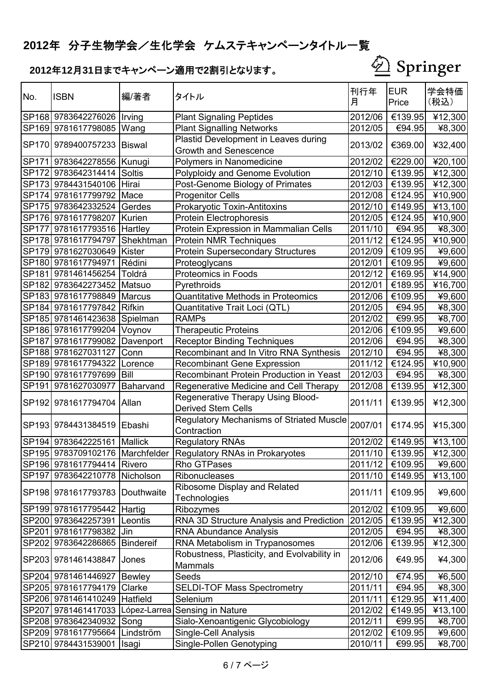

| No.          | <b>ISBN</b>                      | 編/著者          | タイトル                                                                 | 刊行年<br>月 | <b>EUR</b><br>Price | 学会特価<br>(税込)            |
|--------------|----------------------------------|---------------|----------------------------------------------------------------------|----------|---------------------|-------------------------|
|              | SP168 9783642276026   Irving     |               | <b>Plant Signaling Peptides</b>                                      | 2012/06  | €139.95             | ¥12,300                 |
|              | SP169 9781617798085              | Wang          | <b>Plant Signalling Networks</b>                                     | 2012/05  | €94.95              | ¥8,300                  |
|              | SP170 9789400757233              | <b>Biswal</b> | Plastid Development in Leaves during<br><b>Growth and Senescence</b> | 2013/02  | €369.00             | ¥32,400                 |
|              | SP171 9783642278556   Kunugi     |               | Polymers in Nanomedicine                                             | 2012/02  | €229.00             | ¥20,100                 |
| <b>SP172</b> | 9783642314414                    | Soltis        | Polyploidy and Genome Evolution                                      | 2012/10  | €139.95             | ¥12,300                 |
|              | SP173 9784431540106 Hirai        |               | Post-Genome Biology of Primates                                      | 2012/03  | €139.95             | ¥12,300                 |
|              | SP174 9781617799792              | Mace          | <b>Progenitor Cells</b>                                              | 2012/08  | €124.95             | ¥10,900                 |
|              | SP175 9783642332524              | Gerdes        | Prokaryotic Toxin-Antitoxins                                         | 2012/10  | €149.95             | ¥13,100                 |
|              | SP176 9781617798207 Kurien       |               | Protein Electrophoresis                                              | 2012/05  | €124.95             | ¥10,900                 |
|              | SP177 9781617793516 Hartley      |               | Protein Expression in Mammalian Cells                                | 2011/10  | €94.95              | ¥8,300                  |
|              | SP178 9781617794797              | Shekhtman     | Protein NMR Techniques                                               | 2011/12  | €124.95             | ¥10,900                 |
|              | SP179 9781627030649              | Kister        | <b>Protein Supersecondary Structures</b>                             | 2012/09  | €109.95             | ¥9,600                  |
|              | SP180 9781617794971              | Rédini        | Proteoglycans                                                        | 2012/01  | €109.95             | ¥9,600                  |
|              | SP181 9781461456254              | Toldrá        | Proteomics in Foods                                                  | 2012/12  | €169.95             | ¥14,900                 |
|              | SP182 9783642273452 Matsuo       |               | Pyrethroids                                                          | 2012/01  | €189.95             | ¥16,700                 |
|              | SP183 9781617798849              | Marcus        | <b>Quantitative Methods in Proteomics</b>                            | 2012/06  | €109.95             | ¥9,600                  |
|              | SP184 9781617797842              | <b>Rifkin</b> | Quantitative Trait Loci (QTL)                                        | 2012/05  | €94.95              | ¥8,300                  |
|              | SP185 9781461423638 Spielman     |               | <b>RAMPs</b>                                                         | 2012/02  | €99.95              | ¥8,700                  |
|              | SP186 9781617799204              | Voynov        | <b>Therapeutic Proteins</b>                                          | 2012/06  | €109.95             | ¥9,600                  |
|              | SP187 9781617799082              | Davenport     | <b>Receptor Binding Techniques</b>                                   | 2012/06  | €94.95              | ¥8,300                  |
|              | SP188 9781627031127              | Conn          | Recombinant and In Vitro RNA Synthesis                               | 2012/10  | €94.95              | ¥8,300                  |
|              | SP189 9781617794322 Lorence      |               | <b>Recombinant Gene Expression</b>                                   | 2011/12  | €124.95             | ¥10,900                 |
|              | SP190 9781617797699 Bill         |               | Recombinant Protein Production in Yeast                              | 2012/03  | €94.95              | ¥8,300                  |
|              | SP191 9781627030977              | Baharvand     | Regenerative Medicine and Cell Therapy                               | 2012/08  | €139.95             | ¥12,300                 |
|              | SP192 9781617794704   Allan      |               | Regenerative Therapy Using Blood-<br><b>Derived Stem Cells</b>       | 2011/11  | €139.95             | ¥12,300                 |
|              | SP193 9784431384519 Ebashi       |               | Regulatory Mechanisms of Striated Muscle<br>Contraction              | 2007/01  | €174.95             | ¥15,300                 |
|              | SP194 9783642225161 Mallick      |               | <b>Regulatory RNAs</b>                                               | 2012/02  | €149.95             | ¥13,100                 |
|              |                                  |               | SP195 9783709102176 Marchfelder Regulatory RNAs in Prokaryotes       |          |                     | 2011/10 €139.95 ¥12,300 |
|              | SP196 9781617794414 Rivero       |               | Rho GTPases                                                          | 2011/12  | €109.95             | ¥9,600                  |
|              | SP197 9783642210778 Nicholson    |               | Ribonucleases                                                        | 2011/10  | €149.95             | ¥13,100                 |
|              | SP198 9781617793783 Douthwaite   |               | Ribosome Display and Related<br><b>Technologies</b>                  | 2011/11  | €109.95             | ¥9,600                  |
|              | SP199 9781617795442 Hartig       |               | Ribozymes                                                            | 2012/02  | €109.95             | ¥9,600                  |
|              | SP200 9783642257391              | Leontis       | RNA 3D Structure Analysis and Prediction                             | 2012/05  | €139.95             | ¥12,300                 |
|              | SP201 9781617798382 Jin          |               | <b>RNA Abundance Analysis</b>                                        | 2012/05  | €94.95              | ¥8,300                  |
| <b>SP202</b> | 9783642286865                    | Bindereif     | RNA Metabolism in Trypanosomes                                       | 2012/06  | €139.95             | ¥12,300                 |
|              | SP203 9781461438847              | Jones         | Robustness, Plasticity, and Evolvability in<br>Mammals               | 2012/06  | €49.95              | ¥4,300                  |
|              | SP204 9781461446927 Bewley       |               | Seeds                                                                | 2012/10  | €74.95              | ¥6,500                  |
|              | SP205 9781617794179              | Clarke        | <b>SELDI-TOF Mass Spectrometry</b>                                   | 2011/11  | €94.95              | ¥8,300                  |
|              | SP206 9781461410249 Hatfield     |               | Selenium                                                             | 2011/11  | €129.95             | ¥11,400                 |
|              | SP207 9781461417033 López-Larrea |               | <b>Sensing in Nature</b>                                             | 2012/02  | €149.95             | ¥13,100                 |
|              | SP208 9783642340932              | Song          | Sialo-Xenoantigenic Glycobiology                                     | 2012/11  | €99.95              | ¥8,700                  |
|              | SP209 9781617795664              | Lindström     | Single-Cell Analysis                                                 | 2012/02  | €109.95             | ¥9,600                  |
|              | SP210 9784431539001              | <b>Isagi</b>  | Single-Pollen Genotyping                                             | 2010/11  | €99.95              | ¥8,700                  |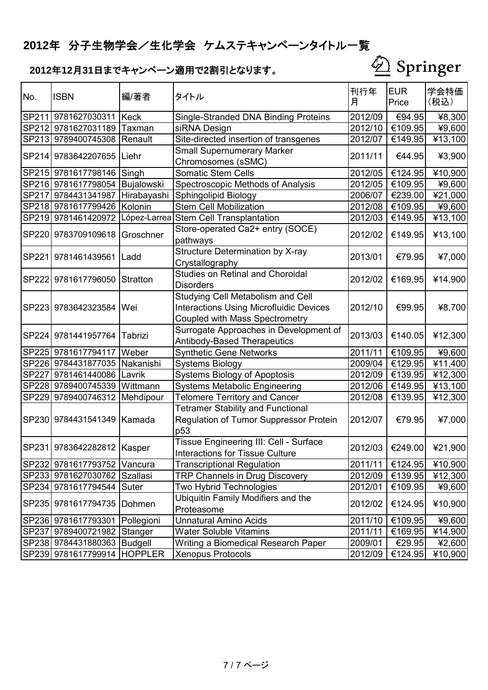

| No.          | <b>ISBN</b>                    | 編/著者        | タイトル                                                                                                                  | 刊行年<br>月 | <b>EUR</b><br>Price | 学会特価<br>(税込)         |
|--------------|--------------------------------|-------------|-----------------------------------------------------------------------------------------------------------------------|----------|---------------------|----------------------|
|              | SP211 9781627030311   Keck     |             | <b>Single-Stranded DNA Binding Proteins</b>                                                                           | 2012/09  | €94.95              | ¥8,300               |
| <b>SP212</b> | 9781627031189                  | Taxman      | siRNA Design                                                                                                          | 2012/10  | €109.95             | ¥9,600               |
|              | SP213 9789400745308 Renault    |             | Site-directed insertion of transgenes                                                                                 | 2012/07  | €149.95             | ¥13,100              |
|              | SP214 9783642207655 Liehr      |             | <b>Small Supernumerary Marker</b><br>Chromosomes (sSMC)                                                               | 2011/11  | €44.95              | ¥3,900               |
|              | SP215 9781617798146            | Singh       | <b>Somatic Stem Cells</b>                                                                                             | 2012/05  | €124.95             | ¥10,900              |
|              | SP216 9781617798054            | Bujalowski  | Spectroscopic Methods of Analysis                                                                                     | 2012/05  | €109.95             | ¥9,600               |
|              | SP217 9784431341987            | Hirabayashi | Sphingolipid Biology                                                                                                  | 2006/07  | €239.00             | ¥21,000              |
|              | SP218 9781617799426            | Kolonin     | <b>Stem Cell Mobilization</b>                                                                                         | 2012/08  | €109.95             | ¥9,600               |
|              | SP219 9781461420972            |             | López-Larrea Stem Cell Transplantation                                                                                | 2012/03  | €149.95             | ¥13,100              |
|              | SP220 9783709109618            | Groschner   | Store-operated Ca2+ entry (SOCE)<br>pathways                                                                          | 2012/02  | €149.95             | ¥13,100              |
| <b>SP221</b> | 9781461439561 Ladd             |             | Structure Determination by X-ray<br>Crystallography                                                                   | 2013/01  | €79.95              | ¥7,000               |
|              | SP222 9781617796050            | Stratton    | <b>Studies on Retinal and Choroidal</b><br><b>Disorders</b>                                                           | 2012/02  | €169.95             | ¥14,900              |
| <b>SP223</b> | 9783642323584                  | Wei         | Studying Cell Metabolism and Cell<br><b>Interactions Using Microfluidic Devices</b><br>Coupled with Mass Spectrometry | 2012/10  | €99.95              | ¥8,700               |
| <b>SP224</b> | 9781441957764                  | Tabrizi     | Surrogate Approaches in Development of<br>Antibody-Based Therapeutics                                                 | 2013/03  | €140.05             | ¥12,300              |
| <b>SP225</b> | 9781617794117                  | Weber       | <b>Synthetic Gene Networks</b>                                                                                        | 2011/11  | €109.95             | ¥9,600               |
|              | SP226 9784431877035 Nakanishi  |             | <b>Systems Biology</b>                                                                                                | 2009/04  | €129.95             | $\overline{4}11,400$ |
| <b>SP227</b> | 9781461440086                  | Lavrik      | Systems Biology of Apoptosis                                                                                          | 2012/09  | €139.95             | ¥12,300              |
|              | SP228 9789400745339            | Wittmann    | <b>Systems Metabolic Engineering</b>                                                                                  | 2012/06  | €149.95             | ¥13,100              |
| <b>SP229</b> | 9789400746312                  | Mehdipour   | <b>Telomere Territory and Cancer</b>                                                                                  | 2012/08  | €139.95             | ¥12,300              |
|              | SP230 9784431541349            | Kamada      | <b>Tetramer Stability and Functional</b><br>Regulation of Tumor Suppressor Protein<br>p53                             | 2012/07  | €79.95              | ¥7,000               |
|              | SP231 9783642282812   Kasper   |             | Tissue Engineering III: Cell - Surface<br>Interactions for Tissue Culture                                             | 2012/03  | €249.00             | ¥21,900              |
|              | SP232 9781617793752            | Vancura     | <b>Transcriptional Regulation</b>                                                                                     | 2011/11  | €124.95             | ¥10,900              |
|              | SP233 9781627030762            | Szallasi    | <b>TRP Channels in Drug Discovery</b>                                                                                 | 2012/09  | €139.95             | ¥12,300              |
|              | SP234 9781617794544            | Suter       | Two Hybrid Technologies                                                                                               | 2012/01  | €109.95             | ¥9,600               |
|              | SP235 9781617794735            | Dohmen      | <b>Ubiquitin Family Modifiers and the</b><br>Proteasome                                                               | 2012/02  | €124.95             | ¥10,900              |
|              | SP236 9781617793301 Pollegioni |             | <b>Unnatural Amino Acids</b>                                                                                          | 2011/10  | €109.95             | ¥9,600               |
|              | SP237 9789400721982            | Stanger     | Water Soluble Vitamins                                                                                                | 2011/11  | €169.95             | ¥14,900              |
|              | SP238 9784431880363 Budgell    |             | Writing a Biomedical Research Paper                                                                                   | 2009/01  | €29.95              | ¥2,600               |
|              | SP239 9781617799914 HOPPLER    |             | Xenopus Protocols                                                                                                     | 2012/09  | €124.95             | ¥10,900              |